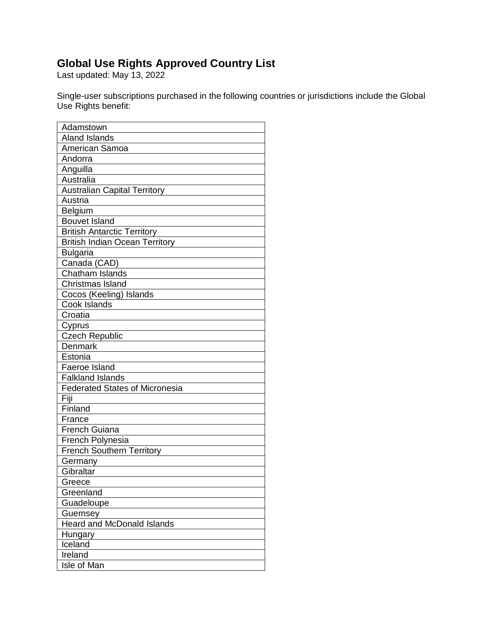## **Global Use Rights Approved Country List**

Last updated: May 13, 2022

Single-user subscriptions purchased in the following countries or jurisdictions include the Global Use Rights benefit:

| Adamstown                             |
|---------------------------------------|
| <b>Aland Islands</b>                  |
| American Samoa                        |
| Andorra                               |
| Anguilla                              |
| Australia                             |
| <b>Australian Capital Territory</b>   |
| Austria                               |
| Belgium                               |
| <b>Bouvet Island</b>                  |
| <b>British Antarctic Territory</b>    |
| <b>British Indian Ocean Territory</b> |
| <b>Bulgaria</b>                       |
| Canada (CAD)                          |
| <b>Chatham Islands</b>                |
| Christmas Island                      |
| Cocos (Keeling) Islands               |
| Cook Islands                          |
| Croatia                               |
| Cyprus                                |
| <b>Czech Republic</b>                 |
| Denmark                               |
| Estonia                               |
| Faeroe Island                         |
| <b>Falkland Islands</b>               |
| <b>Federated States of Micronesia</b> |
| Fiji                                  |
| Finland                               |
| France                                |
| <b>French Guiana</b>                  |
| French Polynesia                      |
| <b>French Southern Territory</b>      |
| Germany                               |
| Gibraltar                             |
| Greece                                |
| Greenland                             |
| Guadeloupe                            |
| Guernsey                              |
| <b>Heard and McDonald Islands</b>     |
| Hungary                               |
| Iceland                               |
| Ireland                               |
| Isle of Man                           |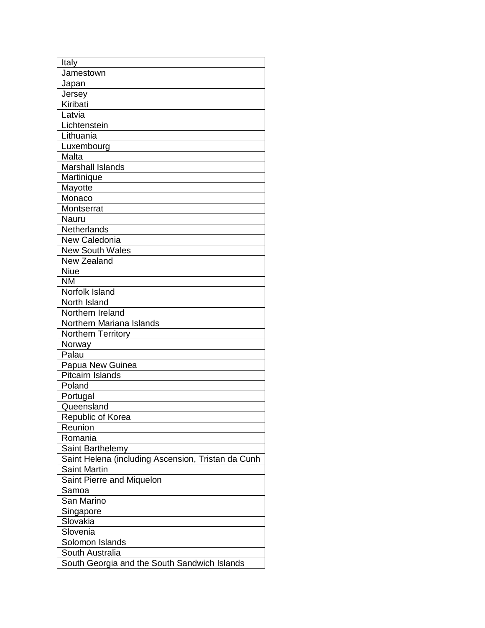| Italy                                              |
|----------------------------------------------------|
| Jamestown                                          |
| Japan                                              |
| Jersey                                             |
| Kiribati                                           |
| Latvia                                             |
| Lichtenstein                                       |
| Lithuania                                          |
| Luxembourg                                         |
| Malta                                              |
| <b>Marshall Islands</b>                            |
| Martinique                                         |
| Mayotte                                            |
| Monaco                                             |
| Montserrat                                         |
| Nauru                                              |
| Netherlands                                        |
| New Caledonia                                      |
| <b>New South Wales</b>                             |
| <b>New Zealand</b>                                 |
| <b>Niue</b>                                        |
| ΝM                                                 |
| Norfolk Island                                     |
| North Island                                       |
| Northern Ireland                                   |
| Northern Mariana Islands                           |
| Northern Territory                                 |
| Norway                                             |
| Palau                                              |
| Papua New Guinea                                   |
| <b>Pitcairn Islands</b>                            |
| Poland                                             |
| Portugal                                           |
| Queensland                                         |
| Republic of Korea                                  |
| Reunion                                            |
| Romania                                            |
| Saint Barthelemy                                   |
| Saint Helena (including Ascension, Tristan da Cunh |
| <b>Saint Martin</b>                                |
| Saint Pierre and Miquelon                          |
| Samoa                                              |
| San Marino                                         |
| Singapore                                          |
| Slovakia                                           |
| Slovenia                                           |
| Solomon Islands                                    |
| South Australia                                    |
| South Georgia and the South Sandwich Islands       |